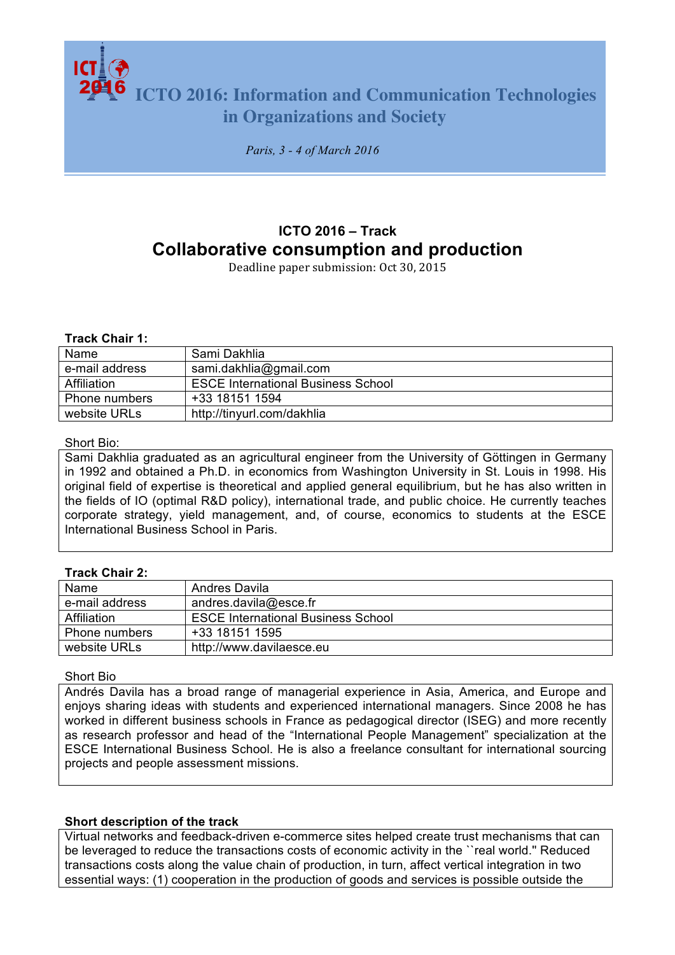**ICTO 2016: Information and Communication Technologies in Organizations and Society**

*Paris, 3 - 4 of March 2016*

# **ICTO 2016 – Track Collaborative consumption and production**

Deadline paper submission: Oct 30, 2015

#### **Track Chair 1:**

| Name           | Sami Dakhlia                              |
|----------------|-------------------------------------------|
| e-mail address | sami.dakhlia@gmail.com                    |
| Affiliation    | <b>ESCE International Business School</b> |
| Phone numbers  | +33 18151 1594                            |
| website URLs   | http://tinyurl.com/dakhlia                |

#### Short Bio:

Sami Dakhlia graduated as an agricultural engineer from the University of Göttingen in Germany in 1992 and obtained a Ph.D. in economics from Washington University in St. Louis in 1998. His original field of expertise is theoretical and applied general equilibrium, but he has also written in the fields of IO (optimal R&D policy), international trade, and public choice. He currently teaches corporate strategy, yield management, and, of course, economics to students at the ESCE International Business School in Paris.

## **Track Chair 2:**

| Name           | <b>Andres Davila</b>                      |
|----------------|-------------------------------------------|
| e-mail address | andres.davila@esce.fr                     |
| Affiliation    | <b>ESCE International Business School</b> |
| Phone numbers  | +33 18151 1595                            |
| website URLs   | http://www.davilaesce.eu                  |

Short Bio

Andrés Davila has a broad range of managerial experience in Asia, America, and Europe and enjoys sharing ideas with students and experienced international managers. Since 2008 he has worked in different business schools in France as pedagogical director (ISEG) and more recently as research professor and head of the "International People Management" specialization at the ESCE International Business School. He is also a freelance consultant for international sourcing projects and people assessment missions.

## **Short description of the track**

Virtual networks and feedback-driven e-commerce sites helped create trust mechanisms that can be leveraged to reduce the transactions costs of economic activity in the ``real world.'' Reduced transactions costs along the value chain of production, in turn, affect vertical integration in two essential ways: (1) cooperation in the production of goods and services is possible outside the